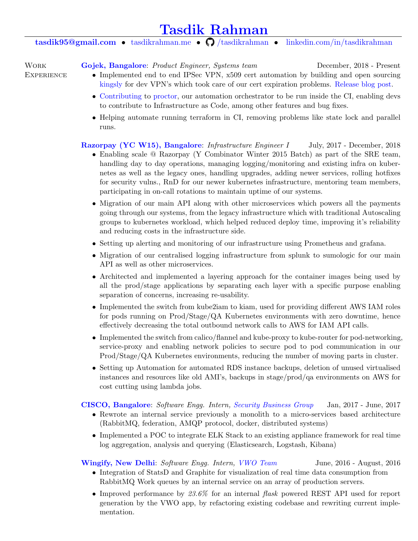# [Tasdik Rahman](https://tasdikrahman.me)

## [tasdik95@gmail.com](mailto:tasdik95@gmail.com) • [tasdikrahman.me](https://tasdikrahman.me/) •  $\bigcirc$  [/tasdikrahman](https://github.com/tasdikrahman) • [linkedin.com/in/tasdikrahman](https://www.linkedin.com/in/tasdikrahman)

**WORK EXPERIENCE**  [Gojek, Bangalore](https://www.gojek.io/): *Product Engineer, Systems team* December, 2018 - Present

- Implemented end to end IPSec VPN,  $x509$  cert automation by building and open sourcing [kingsly](https://github.com/gojek/kingsly) for dev VPN's which took care of our cert expiration problems. [Release blog post.](https://github.com/gojek/kingsly)
- [Contributing](https://github.com/gojek/proctor/commits?author=tasdikrahman) to [proctor,](https://github.com/gojek/proctor/) our automation orchestrator to be run inside the CI, enabling devs to contribute to Infrastructure as Code, among other features and bug fixes.
- Helping automate running terraform in CI, removing problems like state lock and parallel runs.

### [Razorpay \(YC W15\), Bangalore](https://razorpay.com/): Infrastructure Engineer I July, 2017 - December, 2018

- Enabling scale @ Razorpay (Y Combinator Winter 2015 Batch) as part of the SRE team, handling day to day operations, managing logging/monitoring and existing infra on kubernetes as well as the legacy ones, handling upgrades, adding newer services, rolling hotfixes for security vulns., RnD for our newer kubernetes infrastructure, mentoring team members, participating in on-call rotations to maintain uptime of our systems.
- Migration of our main API along with other microservices which powers all the payments going through our systems, from the legacy infrastructure which with traditional Autoscaling groups to kubernetes workload, which helped reduced deploy time, improving it's reliability and reducing costs in the infrastructure side.
- Setting up alerting and monitoring of our infrastructure using Prometheus and grafana.
- Migration of our centralised logging infrastructure from splunk to sumologic for our main API as well as other microservices.
- Architected and implemented a layering approach for the container images being used by all the prod/stage applications by separating each layer with a specific purpose enabling separation of concerns, increasing re-usability.
- Implemented the switch from kube2iam to kiam, used for providing different AWS IAM roles for pods running on Prod/Stage/QA Kubernetes environments with zero downtime, hence effectively decreasing the total outbound network calls to AWS for IAM API calls.
- Implemented the switch from calico/flannel and kube-proxy to kube-router for pod-networking, service-proxy and enabling network policies to secure pod to pod communication in our Prod/Stage/QA Kubernetes environments, reducing the number of moving parts in cluster.
- Setting up Automation for automated RDS instance backups, deletion of unused virtualised instances and resources like old AMI's, backups in stage/prod/qa environments on AWS for cost cutting using lambda jobs.

#### [CISCO, Bangalore](http://www.cisco.com/): Software Engg. Intern, [Security Business Group](http://blogs.cisco.com/tag/security-business-group) Jan, 2017 - June, 2017

- Rewrote an internal service previously a monolith to a micro-services based architecture (RabbitMQ, federation, AMQP protocol, docker, distributed systems)
- Implemented a POC to integrate ELK Stack to an existing appliance framework for real time log aggregation, analysis and querying (Elasticsearch, Logstash, Kibana)

### [Wingify, New Delhi](http://wingify.com/): Software Engg. Intern, [VWO Team](https://vwo.com/) June, 2016 - August, 2016

- Integration of StatsD and Graphite for visualization of real time data consumption from RabbitMQ Work queues by an internal service on an array of production servers.
- Improved performance by  $23.6\%$  for an internal flask powered REST API used for report generation by the VWO app, by refactoring existing codebase and rewriting current implementation.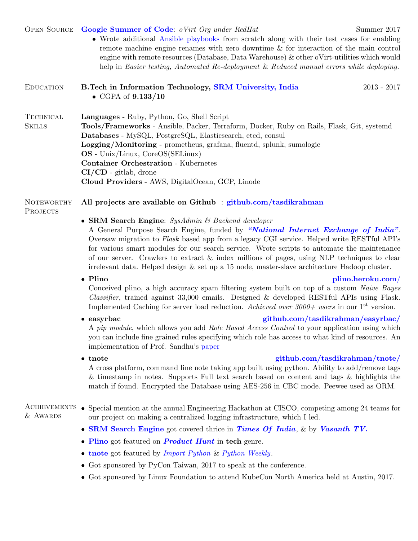#### OPEN SOURCE [Google Summer of Code](https://www.ovirt.org/blog/2017/05/welcome-gsoc-2017-students/): oVirt Org under RedHat Summer 2017

Languages - Ruby, Python, Go, Shell Script

OS - Unix/Linux, CoreOS(SELinux) Container Orchestration - Kubernetes

CI/CD - gitlab, drone

• Wrote additional [Ansible playbooks](https://github.com/tasdikrahman/gsoc2017ovirt) from scratch along with their test cases for enabling remote machine engine renames with zero downtime & for interaction of the main control engine with remote resources (Database, Data Warehouse) & other oVirt-utilities which would help in Easier testing, Automated Re-deployment & Reduced manual errors while deploying.

Tools/Frameworks - Ansible, Packer, Terraform, Docker, Ruby on Rails, Flask, Git, systemd

#### Education B.Tech in Information Technology, [SRM University, India](http://www.srmuniv.ac.in/) 2013 - 2017 • CGPA of  $9.133/10$

#### **NOTEWORTHY** All projects are available on Github : [github.com/tasdikrahman](https://github.com/tasdikrahman)

Databases - MySQL, PostgreSQL, Elasticsearch, etcd, consul

Logging/Monitoring - prometheus, grafana, fluentd, splunk, sumologic

**PROJECTS** 

**TECHNICAL SKILLS** 

• SRM Search Engine: SysAdmin & Backend developer

Cloud Providers - AWS, DigitalOcean, GCP, Linode

A General Purpose Search Engine, funded by ["National Internet Exchange of India"](http://www.nixi.in/). Oversaw migration to Flask based app from a legacy CGI service. Helped write RESTful API's for various smart modules for our search service. Wrote scripts to automate the maintenance of our server. Crawlers to extract & index millions of pages, using NLP techniques to clear irrelevant data. Helped design & set up a 15 node, master-slave architecture Hadoop cluster.

#### • Plino **[plino.heroku.com](https://plino.herokuapp.com/)/**

Conceived plino, a high accuracy spam filtering system built on top of a custom Naive Bayes *Classifier*, trained against  $33,000$  emails. Designed & developed RESTful APIs using Flask. Implemented Caching for server load reduction. Achieved over  $3000+$  users in our 1<sup>st</sup> version.

#### • easyrbac [github.com/tasdikrahman/easyrbac/](https://github.com/tasdikrahman/easyrbac)

A pip module, which allows you add Role Based Access Control to your application using which you can include fine grained rules specifying which role has access to what kind of resources. An implementation of Prof. Sandhu's [paper](http://profsandhu.com/articles/advcom/adv_comp_rbac.pdf)

#### • tnote **github.com/tasdikrahman/tnote**

A cross platform, command line note taking app built using python. Ability to add/remove tags & timestamp in notes. Supports Full text search based on content and tags & highlights the match if found. Encrypted the Database using AES-256 in CBC mode. Peewee used as ORM.

#### ACHIEVEMENTS • Special mention at the annual Engineering Hackathon at CISCO, competing among 24 teams for & Awards our project on making a centralized logging infrastructure, which I led.

- [SRM Search Engine](http://srmsearchengine.in/about_us/team) got covered thrice in [Times](http://timesofindia.indiatimes.com/city/chennai/College-team-develops-search-engine/articleshow/45129062.cms) [Of](http://timesofindia.indiatimes.com/city/chennai/SRM-University-to-launch-search-engine/articleshow/48748309.cms) [India](http://timesofindia.indiatimes.com/home/education/news/Smart-search/articleshow/45253861.cms), & by [Vasanth TV.](https://www.youtube.com/watch?v=k-tvEKqdIQ4)
- [Plino](https://plino.herokuapp.com/) got featured on **[Product Hunt](https://www.producthunt.com/tech/plino)** in tech genre.
- [tnote](https://github.com/tasdikrahman/tnote) got featured by *[Import Python](http://importpython.com/newsletter/no/60/) & [Python Weekly](http://us2.campaign-archive1.com/?u=e2e180baf855ac797ef407fc7&id=c78bf6d519)*.
- Got sponsored by PyCon Taiwan, 2017 to speak at the conference.
- Got sponsored by Linux Foundation to attend KubeCon North America held at Austin, 2017.